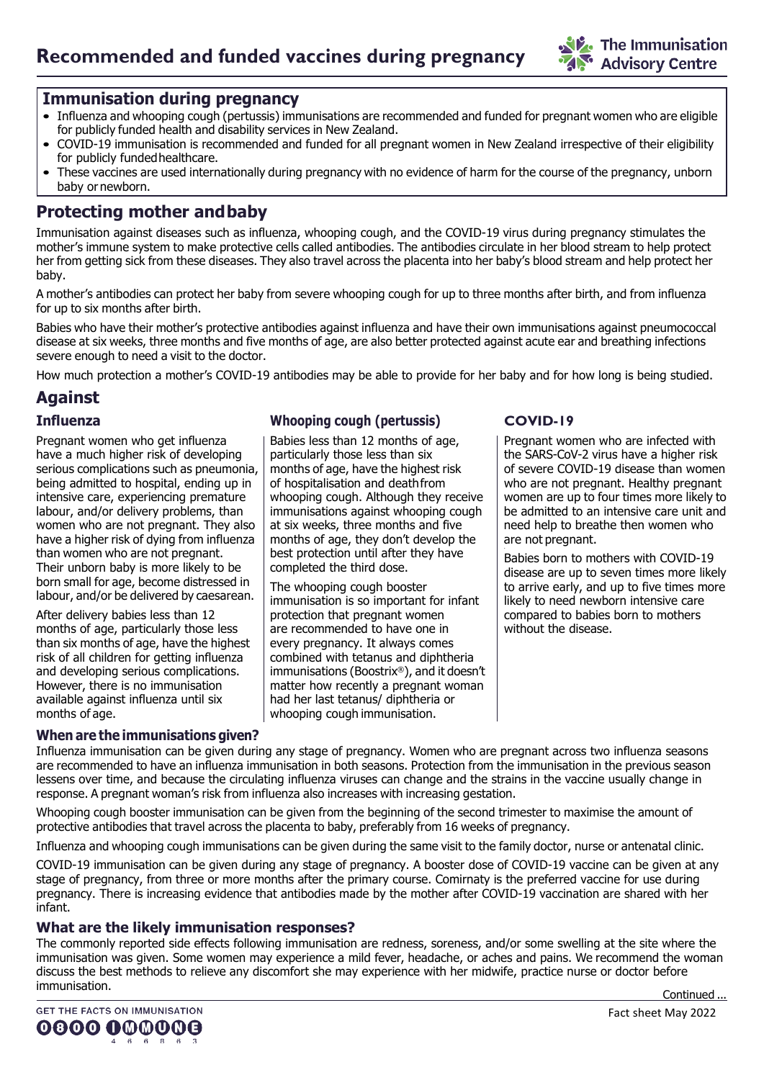

### **Immunisation during pregnancy**

- Influenza and whooping cough (pertussis) immunisations are recommended and funded for pregnant women who are eligible for publicly funded health and disability services in New Zealand.
- COVID-19 immunisation is recommended and funded for all pregnant women in New Zealand irrespective of their eligibility for publicly fundedhealthcare.
- These vaccines are used internationally during pregnancy with no evidence of harm for the course of the pregnancy, unborn baby or newborn.

# **Protecting mother andbaby**

Immunisation against diseases such as influenza, whooping cough, and the COVID-19 virus during pregnancy stimulates the mother's immune system to make protective cells called antibodies. The antibodies circulate in her blood stream to help protect her from getting sick from these diseases. They also travel across the placenta into her baby's blood stream and help protect her baby.

A mother's antibodies can protect her baby from severe whooping cough for up to three months after birth, and from influenza for up to six months after birth.

Babies who have their mother's protective antibodies against influenza and have their own immunisations against pneumococcal disease at six weeks, three months and five months of age, are also better protected against acute ear and breathing infections severe enough to need a visit to the doctor.

How much protection a mother's COVID-19 antibodies may be able to provide for her baby and for how long is being studied.

# **Against**

#### **Influenza**

Pregnant women who get influenza have a much higher risk of developing serious complications such as pneumonia, being admitted to hospital, ending up in intensive care, experiencing premature labour, and/or delivery problems, than women who are not pregnant. They also have a higher risk of dying from influenza than women who are not pregnant. Their unborn baby is more likely to be born small for age, become distressed in labour, and/or be delivered by caesarean.

After delivery babies less than 12 months of age, particularly those less than six months of age, have the highest risk of all children for getting influenza and developing serious complications. However, there is no immunisation available against influenza until six months of age.

#### **When are the immunisations given?**

#### **Whooping cough (pertussis)**

Babies less than 12 months of age, particularly those less than six months of age, have the highest risk of hospitalisation and deathfrom whooping cough. Although they receive immunisations against whooping cough at six weeks, three months and five months of age, they don't develop the best protection until after they have completed the third dose.

The whooping cough booster immunisation is so important for infant protection that pregnant women are recommended to have one in every pregnancy. It always comes combined with tetanus and diphtheria immunisations (Boostrix®), and it doesn't matter how recently a pregnant woman had her last tetanus/ diphtheria or whooping cough immunisation.

#### **COVID-19**

Pregnant women who are infected with the SARS-CoV-2 virus have a higher risk of severe COVID-19 disease than women who are not pregnant. Healthy pregnant women are up to four times more likely to be admitted to an intensive care unit and need help to breathe then women who are not pregnant.

Babies born to mothers with COVID-19 disease are up to seven times more likely to arrive early, and up to five times more likely to need newborn intensive care compared to babies born to mothers without the disease.

Influenza immunisation can be given during any stage of pregnancy. Women who are pregnant across two influenza seasons are recommended to have an influenza immunisation in both seasons. Protection from the immunisation in the previous season lessens over time, and because the circulating influenza viruses can change and the strains in the vaccine usually change in response. A pregnant woman's risk from influenza also increases with increasing gestation.

Whooping cough booster immunisation can be given from the beginning of the second trimester to maximise the amount of protective antibodies that travel across the placenta to baby, preferably from 16 weeks of pregnancy.

Influenza and whooping cough immunisations can be given during the same visit to the family doctor, nurse or antenatal clinic.

COVID-19 immunisation can be given during any stage of pregnancy. A booster dose of COVID-19 vaccine can be given at any stage of pregnancy, from three or more months after the primary course. Comirnaty is the preferred vaccine for use during pregnancy. There is increasing evidence that antibodies made by the mother after COVID-19 vaccination are shared with her infant.

#### **What are the likely immunisation responses?**

The commonly reported side effects following immunisation are redness, soreness, and/or some swelling at the site where the immunisation was given. Some women may experience a mild fever, headache, or aches and pains. We recommend the woman discuss the best methods to relieve any discomfort she may experience with her midwife, practice nurse or doctor before immunisation. Continued ...

0000 000000 4 6 6 8 6 3